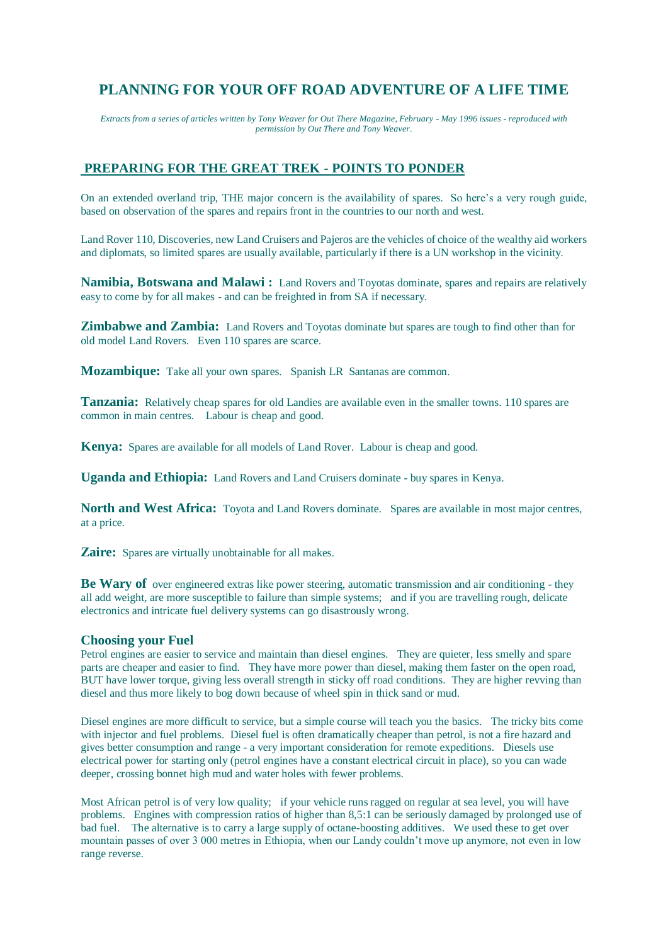# **PLANNING FOR YOUR OFF ROAD ADVENTURE OF A LIFE TIME**

*Extracts from a series of articles written by Tony Weaver for Out There Magazine, February - May 1996 issues - reproduced with permission by Out There and Tony Weaver.*

# **PREPARING FOR THE GREAT TREK - POINTS TO PONDER**

On an extended overland trip, THE major concern is the availability of spares. So here's a very rough guide, based on observation of the spares and repairs front in the countries to our north and west.

Land Rover 110, Discoveries, new Land Cruisers and Pajeros are the vehicles of choice of the wealthy aid workers and diplomats, so limited spares are usually available, particularly if there is a UN workshop in the vicinity.

**Namibia, Botswana and Malawi :** Land Rovers and Toyotas dominate, spares and repairs are relatively easy to come by for all makes - and can be freighted in from SA if necessary.

**Zimbabwe and Zambia:** Land Rovers and Toyotas dominate but spares are tough to find other than for old model Land Rovers. Even 110 spares are scarce.

**Mozambique:** Take all your own spares. Spanish LR Santanas are common.

**Tanzania:** Relatively cheap spares for old Landies are available even in the smaller towns. 110 spares are common in main centres. Labour is cheap and good.

**Kenya:** Spares are available for all models of Land Rover. Labour is cheap and good.

**Uganda and Ethiopia:** Land Rovers and Land Cruisers dominate - buy spares in Kenya.

**North and West Africa:** Toyota and Land Rovers dominate. Spares are available in most major centres, at a price.

**Zaire:** Spares are virtually unobtainable for all makes.

**Be Wary of** over engineered extras like power steering, automatic transmission and air conditioning - they all add weight, are more susceptible to failure than simple systems; and if you are travelling rough, delicate electronics and intricate fuel delivery systems can go disastrously wrong.

#### **Choosing your Fuel**

Petrol engines are easier to service and maintain than diesel engines. They are quieter, less smelly and spare parts are cheaper and easier to find. They have more power than diesel, making them faster on the open road, BUT have lower torque, giving less overall strength in sticky off road conditions. They are higher revving than diesel and thus more likely to bog down because of wheel spin in thick sand or mud.

Diesel engines are more difficult to service, but a simple course will teach you the basics. The tricky bits come with injector and fuel problems. Diesel fuel is often dramatically cheaper than petrol, is not a fire hazard and gives better consumption and range - a very important consideration for remote expeditions. Diesels use electrical power for starting only (petrol engines have a constant electrical circuit in place), so you can wade deeper, crossing bonnet high mud and water holes with fewer problems.

Most African petrol is of very low quality; if your vehicle runs ragged on regular at sea level, you will have problems. Engines with compression ratios of higher than 8,5:1 can be seriously damaged by prolonged use of bad fuel. The alternative is to carry a large supply of octane-boosting additives. We used these to get over mountain passes of over 3 000 metres in Ethiopia, when our Landy couldn't move up anymore, not even in low range reverse.